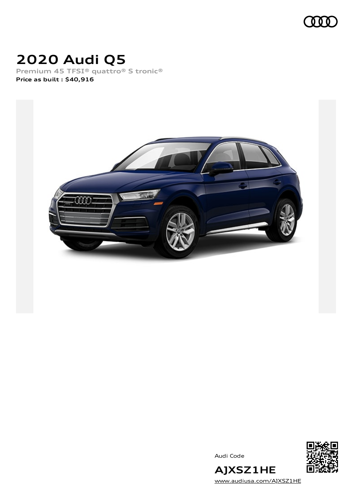

# **2020 Audi Q5**

**Premium 45 TFSI® quattro® S tronic® Price as built [:](#page-8-0) \$40,916**



Audi Code



[www.audiusa.com/AJXSZ1HE](https://www.audiusa.com/AJXSZ1HE)

**AJXSZ1HE**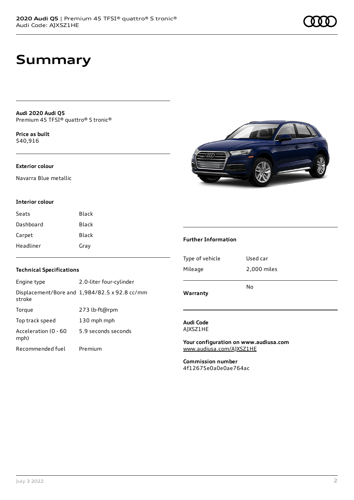# **Summary**

**Audi 2020 Audi Q5** Premium 45 TFSI® quattro® S tronic®

**Price as buil[t](#page-8-0)** \$40,916

### **Exterior colour**

Navarra Blue metallic

### **Interior colour**

| Seats     | Black        |
|-----------|--------------|
| Dashboard | <b>Black</b> |
| Carpet    | <b>Black</b> |
| Headliner | Gray         |

### **Technical Specifications**

| Engine type                  | 2.0-liter four-cylinder                       |
|------------------------------|-----------------------------------------------|
| stroke                       | Displacement/Bore and 1,984/82.5 x 92.8 cc/mm |
| Torque                       | 273 lb-ft@rpm                                 |
| Top track speed              | 130 mph mph                                   |
| Acceleration (0 - 60<br>mph) | 5.9 seconds seconds                           |
| Recommended fuel             | Premium                                       |



### **Further Information**

| Type of vehicle | Used car    |
|-----------------|-------------|
| Mileage         | 2,000 miles |
| Warranty        | N٥          |

### **Audi Code** AJXSZ1HE

**Your configuration on www.audiusa.com** [www.audiusa.com/AJXSZ1HE](https://www.audiusa.com/AJXSZ1HE)

**Commission number** 4f12675e0a0e0ae764ac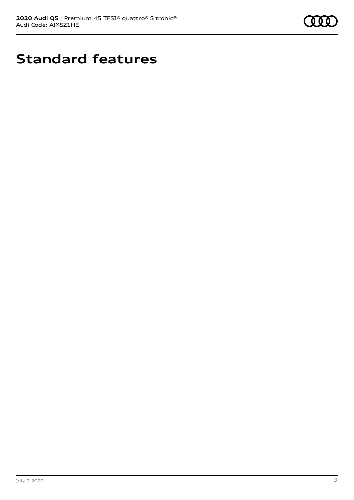

# **Standard features**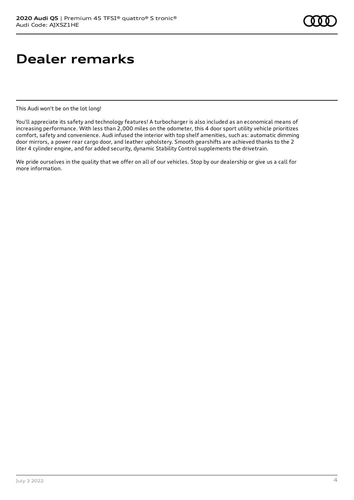# **Dealer remarks**

This Audi won't be on the lot long!

You'll appreciate its safety and technology features! A turbocharger is also included as an economical means of increasing performance. With less than 2,000 miles on the odometer, this 4 door sport utility vehicle prioritizes comfort, safety and convenience. Audi infused the interior with top shelf amenities, such as: automatic dimming door mirrors, a power rear cargo door, and leather upholstery. Smooth gearshifts are achieved thanks to the 2 liter 4 cylinder engine, and for added security, dynamic Stability Control supplements the drivetrain.

We pride ourselves in the quality that we offer on all of our vehicles. Stop by our dealership or give us a call for more information.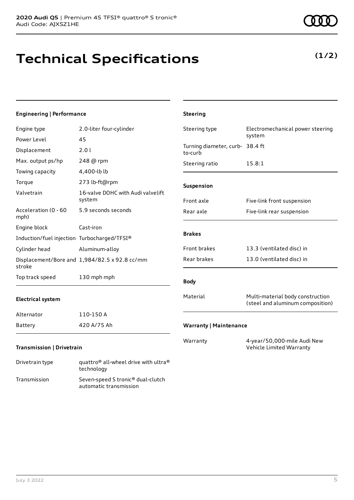# **Technical Specifications**

### **Engineering | Performance**

| Engine type                                 | 2.0-liter four-cylinder                       | Steering type                              | Electromechanical power steering                                     |
|---------------------------------------------|-----------------------------------------------|--------------------------------------------|----------------------------------------------------------------------|
| Power Level                                 | 45                                            |                                            | system                                                               |
| Displacement                                | 2.01                                          | Turning diameter, curb- 38.4 ft<br>to-curb |                                                                      |
| Max. output ps/hp                           | 248 @ rpm                                     | Steering ratio                             | 15.8:1                                                               |
| Towing capacity                             | 4,400-lb lb                                   |                                            |                                                                      |
| Torque                                      | 273 lb-ft@rpm                                 | Suspension                                 |                                                                      |
| Valvetrain                                  | 16-valve DOHC with Audi valvelift<br>system   | Front axle                                 | Five-link front suspension                                           |
| Acceleration (0 - 60<br>mph)                | 5.9 seconds seconds                           | Rear axle                                  | Five-link rear suspension                                            |
| Engine block                                | Cast-iron                                     |                                            |                                                                      |
| Induction/fuel injection Turbocharged/TFSI® |                                               | <b>Brakes</b>                              |                                                                      |
| Cylinder head                               | Aluminum-alloy                                | Front brakes                               | 13.3 (ventilated disc) in                                            |
| stroke                                      | Displacement/Bore and 1,984/82.5 x 92.8 cc/mm | Rear brakes                                | 13.0 (ventilated disc) in                                            |
| Top track speed                             | 130 mph mph                                   | <b>Body</b>                                |                                                                      |
| <b>Electrical system</b>                    |                                               | Material                                   | Multi-material body construction<br>(steel and aluminum composition) |
| Alternator                                  | 110-150 A                                     |                                            |                                                                      |
| Battery                                     | 420 A/75 Ah                                   | <b>Warranty   Maintenance</b>              |                                                                      |
| <b>Transmission   Drivetrain</b>            |                                               | Warranty                                   | 4-year/50,000-mile Audi New<br>Vehicle Limited Warranty              |

**Steering**

Drivetrain type quattro® all-wheel drive with ultra® technology Transmission Seven-speed S tronic® dual-clutch automatic transmission



### **(1/2)**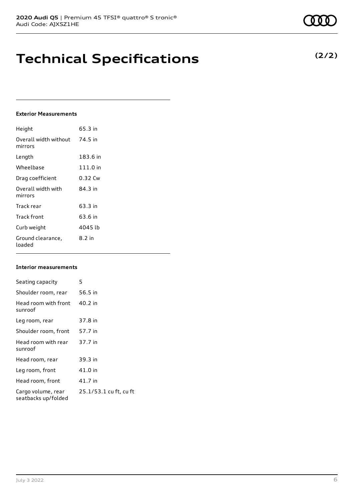# **Technical Specifications**

### **Exterior Measurements**

| Height                           | 65.3 in    |
|----------------------------------|------------|
| Overall width without<br>mirrors | 74.5 in    |
| Length                           | 183.6 in   |
| Wheelbase                        | $111.0$ in |
| Drag coefficient                 | 0.32 Cw    |
| Overall width with<br>mirrors    | 84.3 in    |
| Track rear                       | 63.3 in    |
| Track front                      | 63.6 in    |
| Curb weight                      | 4045 lb    |
| Ground clearance,<br>loaded      | 8.2 in     |

### **Interior measurements**

| Seating capacity                          | 5                      |
|-------------------------------------------|------------------------|
| Shoulder room, rear                       | 56.5 in                |
| Head room with front<br>sunroof           | 40.2 in                |
| Leg room, rear                            | 37.8 in                |
| Shoulder room, front                      | 57.7 in                |
| Head room with rear<br>sunroof            | 37.7 in                |
| Head room, rear                           | 39.3 in                |
| Leg room, front                           | 41.0 in                |
| Head room, front                          | 41.7 in                |
| Cargo volume, rear<br>seatbacks up/folded | 25.1/53.1 cu ft, cu ft |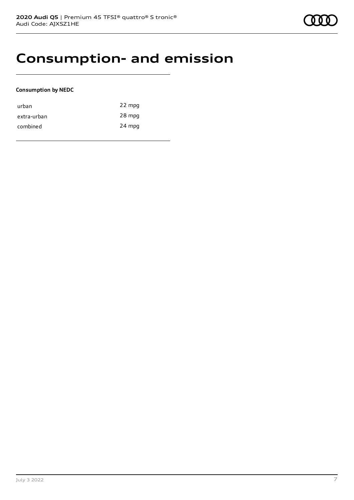### **Consumption- and emission**

### **Consumption by NEDC**

| urban       | 22 mpg |
|-------------|--------|
| extra-urban | 28 mpg |
| combined    | 24 mpg |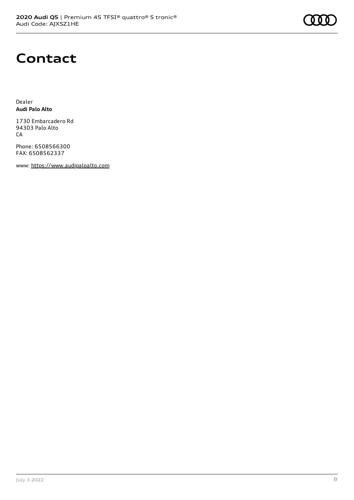

## **Contact**

Dealer **Audi Palo Alto**

1730 Embarcadero Rd 94303 Palo Alto CA

Phone: 6508566300 FAX: 6508562337

www: [https://www.audipaloalto.com](https://www.audipaloalto.com/)